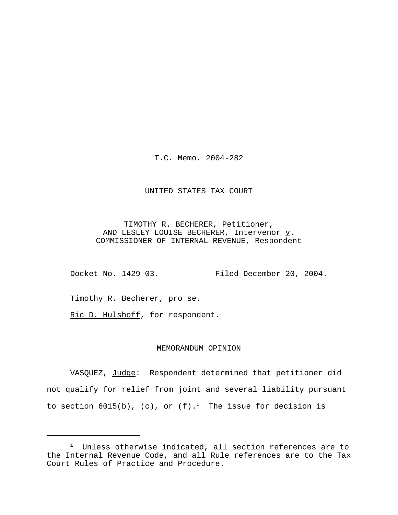T.C. Memo. 2004-282

### UNITED STATES TAX COURT

TIMOTHY R. BECHERER, Petitioner, AND LESLEY LOUISE BECHERER, Intervenor  $\underline{v}$ . COMMISSIONER OF INTERNAL REVENUE, Respondent

Docket No. 1429-03. Filed December 20, 2004.

Timothy R. Becherer, pro se.

Ric D. Hulshoff, for respondent.

### MEMORANDUM OPINION

VASQUEZ, Judge: Respondent determined that petitioner did not qualify for relief from joint and several liability pursuant to section  $6015(b)$ , (c), or (f).<sup>1</sup> The issue for decision is

<sup>&</sup>lt;sup>1</sup> Unless otherwise indicated, all section references are to the Internal Revenue Code, and all Rule references are to the Tax Court Rules of Practice and Procedure.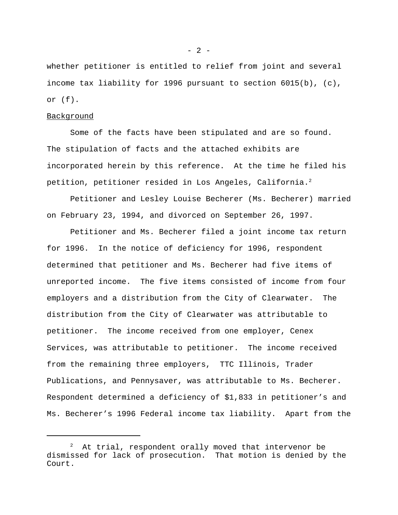whether petitioner is entitled to relief from joint and several income tax liability for 1996 pursuant to section 6015(b), (c), or (f).

#### Background

Some of the facts have been stipulated and are so found. The stipulation of facts and the attached exhibits are incorporated herein by this reference. At the time he filed his petition, petitioner resided in Los Angeles, California.<sup>2</sup>

Petitioner and Lesley Louise Becherer (Ms. Becherer) married on February 23, 1994, and divorced on September 26, 1997.

Petitioner and Ms. Becherer filed a joint income tax return for 1996. In the notice of deficiency for 1996, respondent determined that petitioner and Ms. Becherer had five items of unreported income. The five items consisted of income from four employers and a distribution from the City of Clearwater. The distribution from the City of Clearwater was attributable to petitioner. The income received from one employer, Cenex Services, was attributable to petitioner. The income received from the remaining three employers, TTC Illinois, Trader Publications, and Pennysaver, was attributable to Ms. Becherer. Respondent determined a deficiency of \$1,833 in petitioner's and Ms. Becherer's 1996 Federal income tax liability. Apart from the

 $- 2 -$ 

 $2$  At trial, respondent orally moved that intervenor be dismissed for lack of prosecution. That motion is denied by the Court.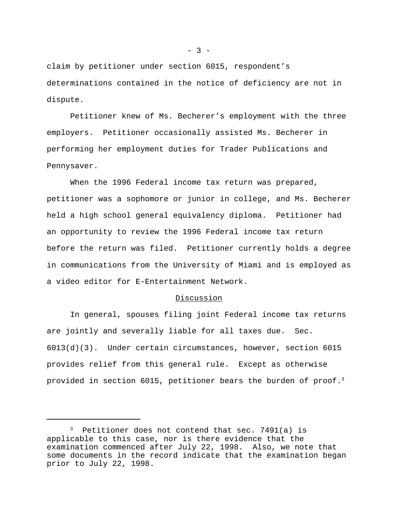claim by petitioner under section 6015, respondent's determinations contained in the notice of deficiency are not in dispute.

Petitioner knew of Ms. Becherer's employment with the three employers. Petitioner occasionally assisted Ms. Becherer in performing her employment duties for Trader Publications and Pennysaver.

When the 1996 Federal income tax return was prepared, petitioner was a sophomore or junior in college, and Ms. Becherer held a high school general equivalency diploma. Petitioner had an opportunity to review the 1996 Federal income tax return before the return was filed. Petitioner currently holds a degree in communications from the University of Miami and is employed as a video editor for E-Entertainment Network.

#### Discussion

In general, spouses filing joint Federal income tax returns are jointly and severally liable for all taxes due. Sec. 6013(d)(3). Under certain circumstances, however, section 6015 provides relief from this general rule. Except as otherwise provided in section 6015, petitioner bears the burden of proof.<sup>3</sup>

 $3$  Petitioner does not contend that sec. 7491(a) is applicable to this case, nor is there evidence that the examination commenced after July 22, 1998. Also, we note that some documents in the record indicate that the examination began prior to July 22, 1998.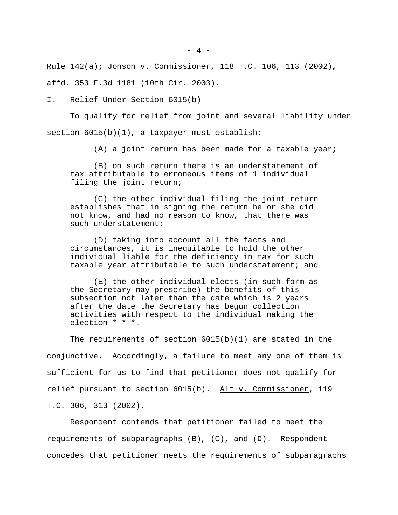Rule 142(a); Jonson v. Commissioner, 118 T.C. 106, 113 (2002), affd. 353 F.3d 1181 (10th Cir. 2003).

#### I. Relief Under Section 6015(b)

To qualify for relief from joint and several liability under section  $6015(b)(1)$ , a taxpayer must establish:

(A) a joint return has been made for a taxable year;

(B) on such return there is an understatement of tax attributable to erroneous items of 1 individual filing the joint return;

(C) the other individual filing the joint return establishes that in signing the return he or she did not know, and had no reason to know, that there was such understatement;

(D) taking into account all the facts and circumstances, it is inequitable to hold the other individual liable for the deficiency in tax for such taxable year attributable to such understatement; and

(E) the other individual elects (in such form as the Secretary may prescribe) the benefits of this subsection not later than the date which is 2 years after the date the Secretary has begun collection activities with respect to the individual making the election \* \* \*.

The requirements of section  $6015(b)(1)$  are stated in the conjunctive. Accordingly, a failure to meet any one of them is sufficient for us to find that petitioner does not qualify for relief pursuant to section  $6015(b)$ . Alt v. Commissioner, 119 T.C. 306, 313 (2002).

Respondent contends that petitioner failed to meet the requirements of subparagraphs (B), (C), and (D). Respondent concedes that petitioner meets the requirements of subparagraphs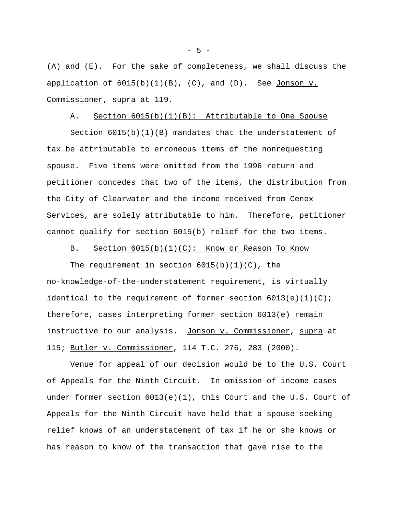(A) and (E). For the sake of completeness, we shall discuss the application of  $6015(b)(1)(B)$ , (C), and (D). See Jonson v. Commissioner, supra at 119.

## A. Section 6015(b)(1)(B): Attributable to One Spouse

Section  $6015(b)(1)(B)$  mandates that the understatement of tax be attributable to erroneous items of the nonrequesting spouse. Five items were omitted from the 1996 return and petitioner concedes that two of the items, the distribution from the City of Clearwater and the income received from Cenex Services, are solely attributable to him. Therefore, petitioner cannot qualify for section 6015(b) relief for the two items.

B. Section  $6015(b)(1)(C)$ : Know or Reason To Know

The requirement in section  $6015(b)(1)(C)$ , the no-knowledge-of-the-understatement requirement, is virtually identical to the requirement of former section  $6013(e)(1)(C)$ ; therefore, cases interpreting former section 6013(e) remain instructive to our analysis. Jonson v. Commissioner, supra at 115; Butler v. Commissioner, 114 T.C. 276, 283 (2000).

Venue for appeal of our decision would be to the U.S. Court of Appeals for the Ninth Circuit. In omission of income cases under former section  $6013(e)(1)$ , this Court and the U.S. Court of Appeals for the Ninth Circuit have held that a spouse seeking relief knows of an understatement of tax if he or she knows or has reason to know of the transaction that gave rise to the

- 5 -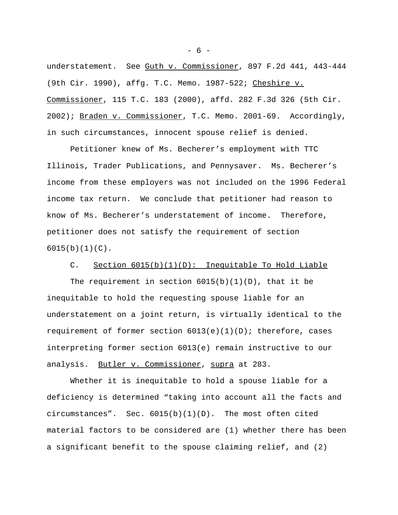understatement. See Guth v. Commissioner, 897 F.2d 441, 443-444 (9th Cir. 1990), affg. T.C. Memo. 1987-522; Cheshire v. Commissioner, 115 T.C. 183 (2000), affd. 282 F.3d 326 (5th Cir. 2002); Braden v. Commissioner, T.C. Memo. 2001-69. Accordingly, in such circumstances, innocent spouse relief is denied.

Petitioner knew of Ms. Becherer's employment with TTC Illinois, Trader Publications, and Pennysaver. Ms. Becherer's income from these employers was not included on the 1996 Federal income tax return. We conclude that petitioner had reason to know of Ms. Becherer's understatement of income. Therefore, petitioner does not satisfy the requirement of section  $6015(b)(1)(C)$ .

# C. Section 6015(b)(1)(D): Inequitable To Hold Liable

The requirement in section  $6015(b)(1)(D)$ , that it be inequitable to hold the requesting spouse liable for an understatement on a joint return, is virtually identical to the requirement of former section 6013(e)(1)(D); therefore, cases interpreting former section 6013(e) remain instructive to our analysis. Butler v. Commissioner, supra at 283.

Whether it is inequitable to hold a spouse liable for a deficiency is determined "taking into account all the facts and circumstances". Sec.  $6015(b)(1)(D)$ . The most often cited material factors to be considered are (1) whether there has been a significant benefit to the spouse claiming relief, and (2)

- 6 -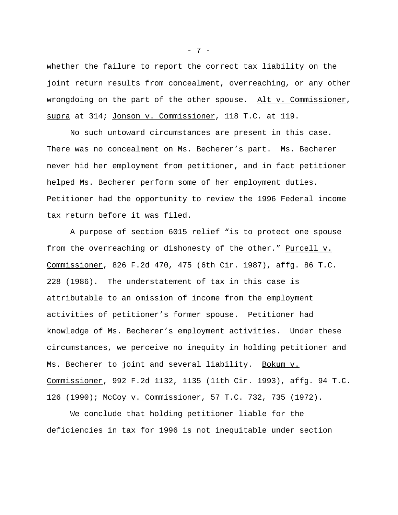whether the failure to report the correct tax liability on the joint return results from concealment, overreaching, or any other wrongdoing on the part of the other spouse. Alt v. Commissioner, supra at 314; Jonson v. Commissioner, 118 T.C. at 119.

No such untoward circumstances are present in this case. There was no concealment on Ms. Becherer's part. Ms. Becherer never hid her employment from petitioner, and in fact petitioner helped Ms. Becherer perform some of her employment duties. Petitioner had the opportunity to review the 1996 Federal income tax return before it was filed.

A purpose of section 6015 relief "is to protect one spouse from the overreaching or dishonesty of the other." Purcell v. Commissioner, 826 F.2d 470, 475 (6th Cir. 1987), affg. 86 T.C. 228 (1986). The understatement of tax in this case is attributable to an omission of income from the employment activities of petitioner's former spouse. Petitioner had knowledge of Ms. Becherer's employment activities. Under these circumstances, we perceive no inequity in holding petitioner and Ms. Becherer to joint and several liability. Bokum v. Commissioner, 992 F.2d 1132, 1135 (11th Cir. 1993), affg. 94 T.C. 126 (1990); McCoy v. Commissioner, 57 T.C. 732, 735 (1972).

We conclude that holding petitioner liable for the deficiencies in tax for 1996 is not inequitable under section

- 7 -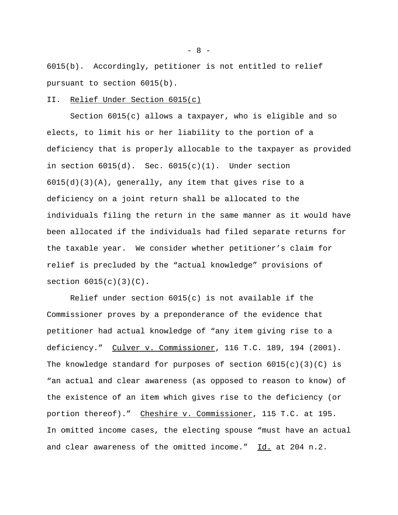6015(b). Accordingly, petitioner is not entitled to relief pursuant to section 6015(b).

#### II. Relief Under Section 6015(c)

Section 6015(c) allows a taxpayer, who is eligible and so elects, to limit his or her liability to the portion of a deficiency that is properly allocable to the taxpayer as provided in section  $6015(d)$ . Sec.  $6015(c)(1)$ . Under section 6015(d)(3)(A), generally, any item that gives rise to a deficiency on a joint return shall be allocated to the individuals filing the return in the same manner as it would have been allocated if the individuals had filed separate returns for the taxable year. We consider whether petitioner's claim for relief is precluded by the "actual knowledge" provisions of section  $6015(c)(3)(C)$ .

Relief under section  $6015(c)$  is not available if the Commissioner proves by a preponderance of the evidence that petitioner had actual knowledge of "any item giving rise to a deficiency." Culver v. Commissioner, 116 T.C. 189, 194 (2001). The knowledge standard for purposes of section  $6015(c)(3)(C)$  is "an actual and clear awareness (as opposed to reason to know) of the existence of an item which gives rise to the deficiency (or portion thereof)." Cheshire v. Commissioner, 115 T.C. at 195. In omitted income cases, the electing spouse "must have an actual and clear awareness of the omitted income."  $\underline{Id.}$  at 204 n.2.

 $- 8 -$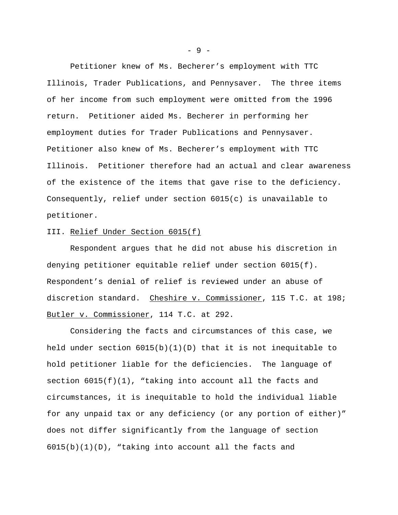Petitioner knew of Ms. Becherer's employment with TTC Illinois, Trader Publications, and Pennysaver. The three items of her income from such employment were omitted from the 1996 return. Petitioner aided Ms. Becherer in performing her employment duties for Trader Publications and Pennysaver. Petitioner also knew of Ms. Becherer's employment with TTC Illinois. Petitioner therefore had an actual and clear awareness of the existence of the items that gave rise to the deficiency. Consequently, relief under section 6015(c) is unavailable to petitioner.

## III. Relief Under Section 6015(f)

Respondent argues that he did not abuse his discretion in denying petitioner equitable relief under section 6015(f). Respondent's denial of relief is reviewed under an abuse of discretion standard. Cheshire v. Commissioner, 115 T.C. at 198; Butler v. Commissioner, 114 T.C. at 292.

Considering the facts and circumstances of this case, we held under section  $6015(b)(1)(D)$  that it is not inequitable to hold petitioner liable for the deficiencies. The language of section  $6015(f)(1)$ , "taking into account all the facts and circumstances, it is inequitable to hold the individual liable for any unpaid tax or any deficiency (or any portion of either)" does not differ significantly from the language of section  $6015(b)(1)(D)$ , "taking into account all the facts and

- 9 -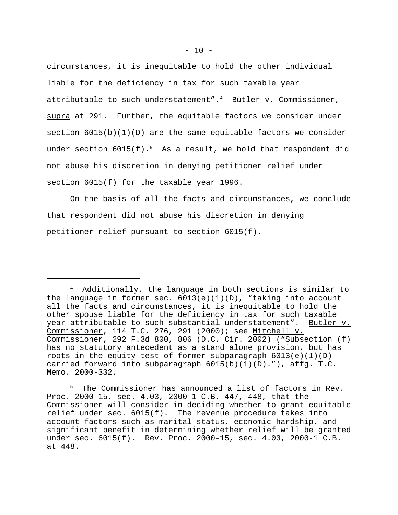circumstances, it is inequitable to hold the other individual liable for the deficiency in tax for such taxable year attributable to such understatement". $4$  Butler v. Commissioner, supra at 291. Further, the equitable factors we consider under section  $6015(b)(1)(D)$  are the same equitable factors we consider under section  $6015(f).$ <sup>5</sup> As a result, we hold that respondent did not abuse his discretion in denying petitioner relief under section 6015(f) for the taxable year 1996.

On the basis of all the facts and circumstances, we conclude that respondent did not abuse his discretion in denying petitioner relief pursuant to section 6015(f).

<sup>4</sup> Additionally, the language in both sections is similar to the language in former sec.  $6013(e)(1)(D)$ , "taking into account all the facts and circumstances, it is inequitable to hold the other spouse liable for the deficiency in tax for such taxable year attributable to such substantial understatement". Butler v. Commissioner, 114 T.C. 276, 291 (2000); see Mitchell v. Commissioner, 292 F.3d 800, 806 (D.C. Cir. 2002) ("Subsection (f) has no statutory antecedent as a stand alone provision, but has roots in the equity test of former subparagraph  $6013(e)(1)(D)$ carried forward into subparagraph  $6015(b)(1)(D)$ ."), affg. T.C. Memo. 2000-332.

The Commissioner has announced a list of factors in Rev. Proc. 2000-15, sec. 4.03, 2000-1 C.B. 447, 448, that the Commissioner will consider in deciding whether to grant equitable relief under sec. 6015(f). The revenue procedure takes into account factors such as marital status, economic hardship, and significant benefit in determining whether relief will be granted under sec. 6015(f). Rev. Proc. 2000-15, sec. 4.03, 2000-1 C.B. at 448.